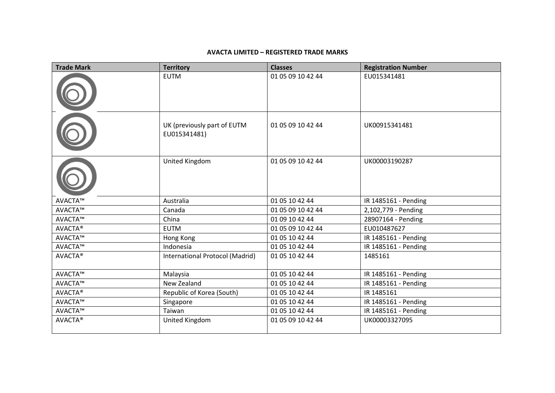## **AVACTA LIMITED – REGISTERED TRADE MARKS**

| <b>Trade Mark</b> | <b>Territory</b>                            | <b>Classes</b>    | <b>Registration Number</b> |
|-------------------|---------------------------------------------|-------------------|----------------------------|
|                   | <b>EUTM</b>                                 | 01 05 09 10 42 44 | EU015341481                |
|                   | UK (previously part of EUTM<br>EU015341481) | 01 05 09 10 42 44 | UK00915341481              |
|                   | United Kingdom                              | 01 05 09 10 42 44 | UK00003190287              |
| AVACTA™           | Australia                                   | 01 05 10 42 44    | IR 1485161 - Pending       |
| AVACTA™           | Canada                                      | 01 05 09 10 42 44 | 2,102,779 - Pending        |
| AVACTA™           | China                                       | 01 09 10 42 44    | 28907164 - Pending         |
| <b>AVACTA®</b>    | <b>EUTM</b>                                 | 01 05 09 10 42 44 | EU010487627                |
| AVACTA™           | Hong Kong                                   | 01 05 10 42 44    | IR 1485161 - Pending       |
| AVACTA™           | Indonesia                                   | 01 05 10 42 44    | IR 1485161 - Pending       |
| AVACTA®           | International Protocol (Madrid)             | 01 05 10 42 44    | 1485161                    |
| AVACTA™           | Malaysia                                    | 01 05 10 42 44    | IR 1485161 - Pending       |
| AVACTA™           | New Zealand                                 | 01 05 10 42 44    | IR 1485161 - Pending       |
| <b>AVACTA®</b>    | Republic of Korea (South)                   | 01 05 10 42 44    | IR 1485161                 |
| AVACTA™           | Singapore                                   | 01 05 10 42 44    | IR 1485161 - Pending       |
| AVACTA™           | Taiwan                                      | 01 05 10 42 44    | IR 1485161 - Pending       |
| <b>AVACTA®</b>    | United Kingdom                              | 01 05 09 10 42 44 | UK00003327095              |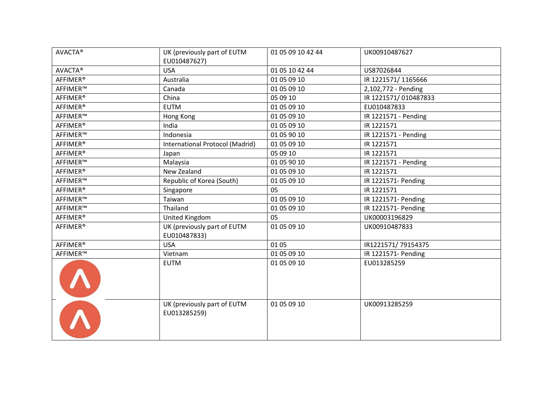| <b>AVACTA®</b>       | UK (previously part of EUTM<br>EU010487627) | 01 05 09 10 42 44 | UK00910487627        |
|----------------------|---------------------------------------------|-------------------|----------------------|
| <b>AVACTA®</b>       | <b>USA</b>                                  | 01 05 10 42 44    | US87026844           |
| AFFIMER <sup>®</sup> | Australia                                   | 01 05 09 10       | IR 1221571/1165666   |
| AFFIMER™             | Canada                                      | 01 05 09 10       | 2,102,772 - Pending  |
| AFFIMER <sup>®</sup> | China                                       | 05 09 10          | IR 1221571/010487833 |
| AFFIMER <sup>®</sup> | <b>EUTM</b>                                 | 01 05 09 10       | EU010487833          |
| AFFIMER™             | Hong Kong                                   | 01 05 09 10       | IR 1221571 - Pending |
| <b>AFFIMER®</b>      | India                                       | 01 05 09 10       | IR 1221571           |
| AFFIMER™             | Indonesia                                   | 01 05 90 10       | IR 1221571 - Pending |
| AFFIMER <sup>®</sup> | International Protocol (Madrid)             | 01 05 09 10       | IR 1221571           |
| AFFIMER <sup>®</sup> | Japan                                       | 05 09 10          | IR 1221571           |
| AFFIMER™             | Malaysia                                    | 01 05 90 10       | IR 1221571 - Pending |
| AFFIMER <sup>®</sup> | New Zealand                                 | 01 05 09 10       | IR 1221571           |
| AFFIMER™             | Republic of Korea (South)                   | 01 05 09 10       | IR 1221571- Pending  |
| AFFIMER <sup>®</sup> | Singapore                                   | 05                | IR 1221571           |
| AFFIMER™             | Taiwan                                      | 01 05 09 10       | IR 1221571- Pending  |
| AFFIMER™             | Thailand                                    | 01 05 09 10       | IR 1221571- Pending  |
| AFFIMER <sup>®</sup> | United Kingdom                              | 05                | UK00003196829        |
| AFFIMER <sup>®</sup> | UK (previously part of EUTM<br>EU010487833) | 01 05 09 10       | UK00910487833        |
| AFFIMER <sup>®</sup> | <b>USA</b>                                  | 01 05             | IR1221571/79154375   |
| AFFIMER™             | Vietnam                                     | 01 05 09 10       | IR 1221571- Pending  |
|                      | <b>EUTM</b>                                 | 01 05 09 10       | EU013285259          |
|                      | UK (previously part of EUTM<br>EU013285259) | 01 05 09 10       | UK00913285259        |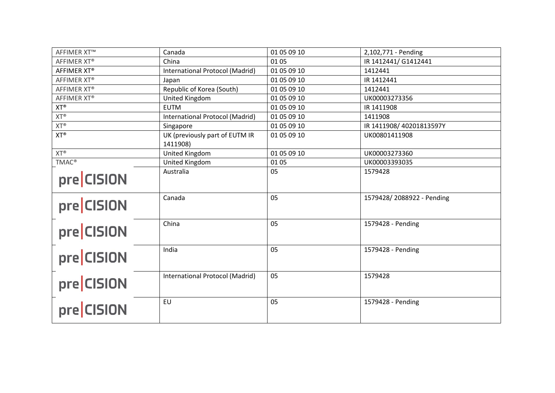| <b>AFFIMER XT™</b> | Canada                                     | 01 05 09 10 | 2,102,771 - Pending       |
|--------------------|--------------------------------------------|-------------|---------------------------|
| AFFIMER XT®        | China                                      | 01 05       | IR 1412441/ G1412441      |
| AFFIMER XT®        | International Protocol (Madrid)            | 01 05 09 10 | 1412441                   |
| AFFIMER XT®        | Japan                                      | 01 05 09 10 | IR 1412441                |
| AFFIMER XT®        | Republic of Korea (South)                  | 01 05 09 10 | 1412441                   |
| AFFIMER XT®        | United Kingdom                             | 01 05 09 10 | UK00003273356             |
| $XT^{\circledast}$ | <b>EUTM</b>                                | 01 05 09 10 | IR 1411908                |
| $XT^{\circledast}$ | International Protocol (Madrid)            | 01 05 09 10 | 1411908                   |
| $XT^{\circledast}$ | Singapore                                  | 01 05 09 10 | IR 1411908/40201813597Y   |
| $XT^{\circledR}$   | UK (previously part of EUTM IR<br>1411908) | 01 05 09 10 | UK00801411908             |
| $XT^{\circledR}$   | United Kingdom                             | 01 05 09 10 | UK00003273360             |
| <b>TMAC®</b>       | United Kingdom                             | 01 05       | UK00003393035             |
| pre CISION         | Australia                                  | 05          | 1579428                   |
| pre CISION         | Canada                                     | 05          | 1579428/2088922 - Pending |
| pre CISION         | China                                      | 05          | 1579428 - Pending         |
| pre CISION         | India                                      | 05          | 1579428 - Pending         |
| pre CISION         | International Protocol (Madrid)            | 05          | 1579428                   |
| pre CISION         | EU                                         | 05          | 1579428 - Pending         |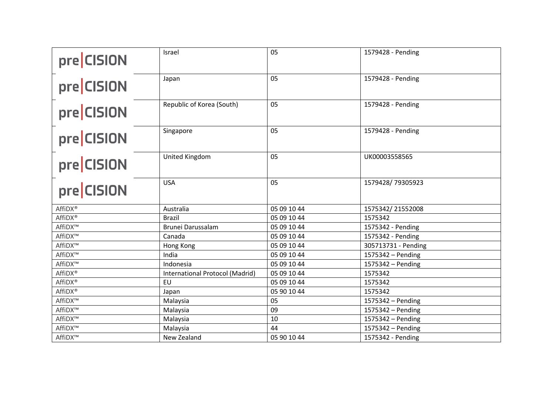| pre CISION          | Israel                          | 05          | 1579428 - Pending   |
|---------------------|---------------------------------|-------------|---------------------|
| pre CISION          | Japan                           | 05          | 1579428 - Pending   |
| pre CISION          | Republic of Korea (South)       | 05          | 1579428 - Pending   |
| pre CISION          | Singapore                       | 05          | 1579428 - Pending   |
| pre CISION          | United Kingdom                  | 05          | UK00003558565       |
| pre CISION          | <b>USA</b>                      | 05          | 1579428/79305923    |
| AffiDX <sup>®</sup> | Australia                       | 05 09 10 44 | 1575342/21552008    |
| AffiDX <sup>®</sup> | <b>Brazil</b>                   | 05 09 10 44 | 1575342             |
| AffiDX™             | Brunei Darussalam               | 05 09 10 44 | 1575342 - Pending   |
| AffiDX™             | Canada                          | 05 09 10 44 | 1575342 - Pending   |
| AffiDX™             | Hong Kong                       | 05 09 10 44 | 305713731 - Pending |
| AffiDX™             | India                           | 05 09 10 44 | 1575342 - Pending   |
| AffiDX™             | Indonesia                       | 05 09 10 44 | 1575342 - Pending   |
| AffiDX <sup>®</sup> | International Protocol (Madrid) | 05 09 10 44 | 1575342             |
| AffiDX <sup>®</sup> | EU                              | 05 09 10 44 | 1575342             |
| AffiDX <sup>®</sup> | Japan                           | 05 90 10 44 | 1575342             |
| AffiDX™             | Malaysia                        | 05          | 1575342 - Pending   |
| AffiDX™             | Malaysia                        | 09          | 1575342 - Pending   |
| AffiDX™             | Malaysia                        | 10          | 1575342 - Pending   |
| AffiDX™             | Malaysia                        | 44          | 1575342 - Pending   |
| AffiDX™             | New Zealand                     | 05 90 10 44 | 1575342 - Pending   |